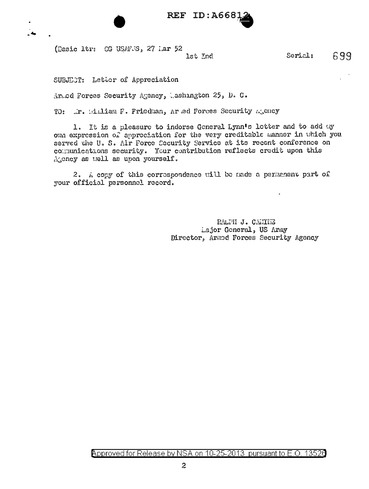

(Dasic ltr: CG USAFS, 27 Lar 52

1st Ind

SUBJECT: Letter of Appreciation

An.od Forces Security Agency, Lashington 25, D. C.

TO: Ir. Ellian F. Friedman, Ar ed Forces Security Agency

1. It is a pleasure to indorse General Lynn's letter and to add uy own expression of approciation for the very creditable manner in which you served the U.S. Air Porce Cocurity Service at its recent conference on communications security. Your contribution reflects credit upon this Atoncy as uell as upon yourself.

2. A copy of this correspondence will be nade a permanent part of your official personnel record.

> RALPH J. CANINE Lajor Goneral, US Army Director, Armod Forces Security Agency

699

Serial: